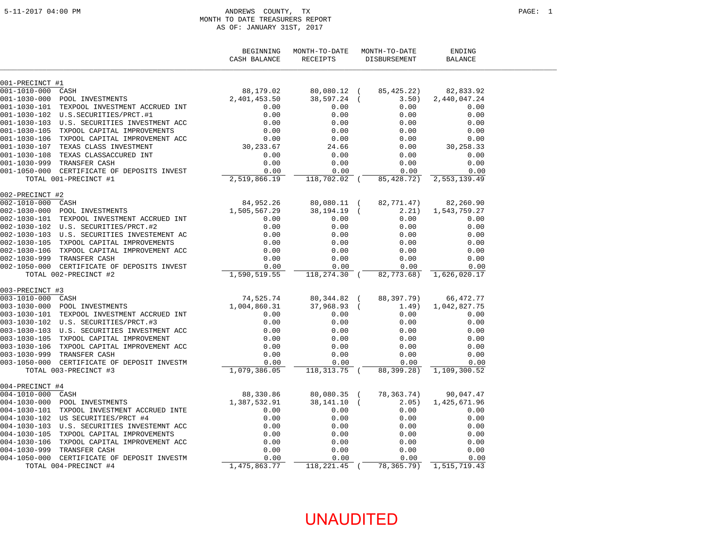#### ANDREWS COUNTY, TX PAGE: 1 MONTH TO DATE TREASURERS REPORT AS OF: JANUARY 31ST, 2017

|                    |                                             | BEGINNING<br>CASH BALANCE | MONTH-TO-DATE<br>RECEIPTS | MONTH-TO-DATE<br>DISBURSEMENT | ENDING<br><b>BALANCE</b> |  |
|--------------------|---------------------------------------------|---------------------------|---------------------------|-------------------------------|--------------------------|--|
| 001-PRECINCT #1    |                                             |                           |                           |                               |                          |  |
| 001-1010-000 CASH  |                                             | 88,179.02                 | 80,080.12 (               | 85,425.22)                    | 82,833.92                |  |
| $001 - 1030 - 000$ | POOL INVESTMENTS                            | 2,401,453.50              | 38,597.24 (               | 3.50)                         | 2,440,047.24             |  |
| $001 - 1030 - 101$ | TEXPOOL INVESTMENT ACCRUED INT              | 0.00                      | 0.00                      | 0.00                          | 0.00                     |  |
|                    |                                             | 0.00                      | 0.00                      | 0.00                          | 0.00                     |  |
|                    | 001-1030-103 U.S. SECURITIES INVESTMENT ACC | 0.00                      | 0.00                      | 0.00                          | 0.00                     |  |
|                    | 001-1030-105 TXPOOL CAPITAL IMPROVEMENTS    | 0.00                      | 0.00                      | 0.00                          | 0.00                     |  |
|                    | 001-1030-106 TXPOOL CAPITAL IMPROVEMENT ACC | $0.00$<br>30,233.67       | 0.00                      | 0.00                          | 0.00                     |  |
|                    | 001-1030-107 TEXAS CLASS INVESTMENT         |                           | 24.66                     | 0.00                          | 30,258.33                |  |
|                    | 001-1030-108 TEXAS CLASSACCURED INT         | 0.00                      | 0.00                      | 0.00                          | 0.00                     |  |
|                    | 001-1030-999 TRANSFER CASH                  | 0.00                      | 0.00                      | 0.00                          | 0.00                     |  |
|                    | 001-1050-000 CERTIFICATE OF DEPOSITS INVEST | 0.00                      | 0.00                      | 0.00                          | 0.00                     |  |
|                    | TOTAL 001-PRECINCT #1                       | 2,519,866.19              | 118,702.02 (              | 85,428.72)                    | 2,553,139.49             |  |
| 002-PRECINCT #2    |                                             |                           |                           |                               |                          |  |
| 002-1010-000 CASH  |                                             | 84,952.26                 | 80,080.11 (               | 82,771.47)                    | 82,260.90                |  |
| $002 - 1030 - 000$ | POOL INVESTMENTS                            | 1,505,567.29              | 38, 194. 19 (             | 2.21)                         | 1,543,759.27             |  |
| 002-1030-101       | TEXPOOL INVESTMENT ACCRUED INT              | 0.00                      | 0.00                      | 0.00                          | 0.00                     |  |
|                    | 002-1030-102 U.S. SECURITIES/PRCT.#2        | 0.00                      | 0.00                      | 0.00                          | 0.00                     |  |
|                    | 002-1030-103 U.S. SECURITIES INVESTEMENT AC | 0.00                      | 0.00                      | 0.00                          | 0.00                     |  |
|                    | 002-1030-105 TXPOOL CAPITAL IMPROVEMENTS    | 0.00                      | 0.00                      | 0.00                          | 0.00                     |  |
|                    | 002-1030-106 TXPOOL CAPITAL IMPROVEMENT ACC | 0.00                      | 0.00                      | 0.00                          | 0.00                     |  |
|                    | 002-1030-999 TRANSFER CASH                  | 0.00                      | 0.00                      | 0.00                          | 0.00                     |  |
|                    | 002-1050-000 CERTIFICATE OF DEPOSITS INVEST | 0.00                      | 0.00                      | 0.00                          | 0.00                     |  |
|                    | TOTAL 002-PRECINCT #2                       | 1,590,519.55              | 118,274.30 (              | 82,773.68)                    | 1,626,020.17             |  |
| 003-PRECINCT #3    | דעש שער הענדי איי DINT (האוביי ה            |                           |                           |                               |                          |  |
| 003-1010-000 CASH  |                                             | 74, 525. 74               | 80,344.82 (               | 88,397.79)                    | 66,472.77                |  |
| $003 - 1030 - 000$ | POOL INVESTMENTS                            | 1,004,860.31              | $37,968.93$ (             | 1.49)                         | 1,042,827.75             |  |
| $003 - 1030 - 101$ | TEXPOOL INVESTMENT ACCRUED INT              | 0.00                      | 0.00                      | 0.00                          | 0.00                     |  |
|                    |                                             | 0.00                      | 0.00                      | 0.00                          | 0.00                     |  |
|                    | 003-1030-103 U.S. SECURITIES INVESTMENT ACC | 0.00                      | 0.00                      | 0.00                          | 0.00                     |  |
|                    | 003-1030-105 TXPOOL CAPITAL IMPROVEMENT     | 0.00                      | 0.00                      | 0.00                          | 0.00                     |  |
|                    | 003-1030-106 TXPOOL CAPITAL IMPROVEMENT ACC | 0.00                      | 0.00                      | 0.00                          | 0.00                     |  |
| 003-1030-999       | TRANSFER CASH                               | 0.00                      | 0.00                      | 0.00                          | 0.00                     |  |
| $003 - 1050 - 000$ | CERTIFICATE OF DEPOSIT INVESTM              | 0.00                      | 0.00                      | 0.00                          | 0.00                     |  |
|                    | TOTAL 003-PRECINCT #3                       | 1,079,386.05              | 118,313.75 (              | 88,399.28)                    | 1,109,300.52             |  |
| 004-PRECINCT #4    |                                             |                           |                           |                               |                          |  |
| 004-1010-000 CASH  |                                             | 88,330.86                 | 80,080.35 (               | 78, 363. 74)                  | 90,047.47                |  |
|                    | 004-1030-000 POOL INVESTMENTS               | 1,387,532.91              | $38, 141.10$ (            | 2.05)                         | 1,425,671.96             |  |
| 004-1030-101       | TXPOOL INVESTMENT ACCRUED INTE              | 0.00                      | 0.00                      | 0.00                          | 0.00                     |  |
|                    | 004-1030-102 US SECURITIES/PRCT #4          | 0.00                      | 0.00                      | 0.00                          | 0.00                     |  |
|                    | 004-1030-103 U.S. SECURITIES INVESTEMNT ACC | 0.00                      | 0.00                      | 0.00                          | 0.00                     |  |
|                    | 004-1030-105 TXPOOL CAPITAL IMPROVEMENTS    | 0.00                      | 0.00                      | 0.00                          | 0.00                     |  |
|                    | 004-1030-106 TXPOOL CAPITAL IMPROVEMENT ACC | 0.00                      | 0.00                      | 0.00                          | 0.00                     |  |
| 004-1030-999       | TRANSFER CASH                               | 0.00                      | 0.00                      | 0.00                          | 0.00                     |  |
|                    | 004-1050-000 CERTIFICATE OF DEPOSIT INVESTM | 0.00                      | 0.00                      | 0.00                          | 0.00                     |  |
|                    | TOTAL 004-PRECINCT #4                       | 1,475,863.77              | 118,221.45 (              | 78,365.79)                    | 1,515,719.43             |  |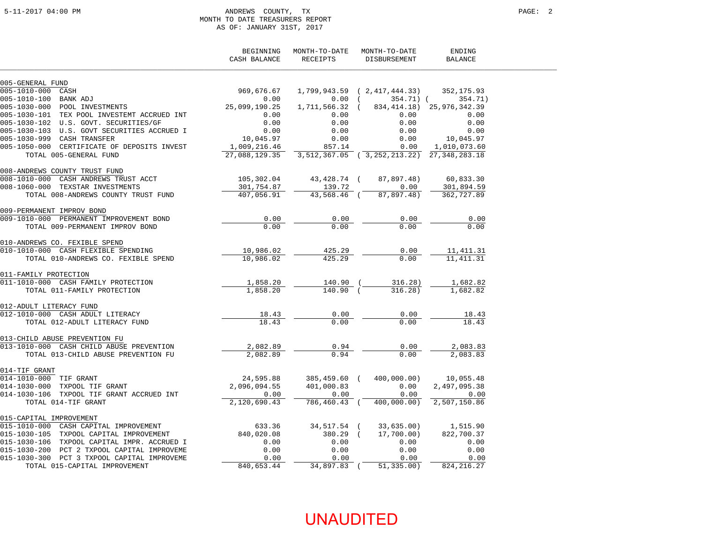#### 5-11-2017 04:00 PM ANDREWS COUNTY, TX PAGE: 2 MONTH TO DATE TREASURERS REPORT AS OF: JANUARY 31ST, 2017

|                                             | BEGINNING<br>CASH BALANCE | MONTH-TO-DATE<br>RECEIPTS | MONTH-TO-DATE<br>DISBURSEMENT     | ENDING<br><b>BALANCE</b>       |
|---------------------------------------------|---------------------------|---------------------------|-----------------------------------|--------------------------------|
| 005-GENERAL FUND                            |                           |                           |                                   |                                |
| 005-1010-000 CASH                           | 969,676.67                |                           | $1,799,943.59$ ( $2,417,444.33$ ) | 352,175.93                     |
| 005-1010-100<br>BANK ADJ                    | 0.00                      | 0.00                      | 354.71) (                         | 354.71)                        |
| 005-1030-000 POOL INVESTMENTS               | 25,099,190.25             | 1,711,566.32              |                                   | 834, 414. 18) 25, 976, 342. 39 |
| 005-1030-101 TEX POOL INVESTEMT ACCRUED INT | 0.00                      | 0.00                      | 0.00                              | 0.00                           |
| 005-1030-102 U.S. GOVT. SECURITIES/GF       | 0.00                      | 0.00                      | 0.00                              | 0.00                           |
| 005-1030-103 U.S. GOVT SECURITIES ACCRUED I | 0.00                      | 0.00                      | 0.00                              | 0.00                           |
| 005-1030-999 CASH TRANSFER                  | 10,045.97                 | 0.00                      | 0.00                              | 10,045.97                      |
| 005-1050-000 CERTIFICATE OF DEPOSITS INVEST | 1,009,216.46              | 857.14                    | 0.00                              | 1,010,073.60                   |
| TOTAL 005-GENERAL FUND                      | 27,088,129.35             |                           | 3,512,367.05 (3,252,213.22)       | 27, 348, 283. 18               |
| 008-ANDREWS COUNTY TRUST FUND               |                           |                           |                                   |                                |
| CASH ANDREWS TRUST ACCT<br>008-1010-000     | 105,302.04                | 43,428.74 (               | 87,897.48)                        | 60,833.30                      |
| 008-1060-000 TEXSTAR INVESTMENTS            | 301,754.87                | 139.72                    | 0.00                              | 301,894.59                     |
| TOTAL 008-ANDREWS COUNTY TRUST FUND         | 407,056.91                | 43,568.46 (               | 87,897.48)                        | 362,727.89                     |
| 009-PERMANENT IMPROV BOND                   |                           |                           |                                   |                                |
| 009-1010-000 PERMANENT IMPROVEMENT BOND     | 0.00                      | 0.00                      | 0.00                              | 0.00                           |
| TOTAL 009-PERMANENT IMPROV BOND             | 0.00                      | 0.00                      | 0.00                              | 0.00                           |
| 010-ANDREWS CO. FEXIBLE SPEND               |                           |                           |                                   |                                |
| 010-1010-000 CASH FLEXIBLE SPENDING         | 10,986.02                 | 425.29                    | 0.00                              | 11,411.31                      |
| TOTAL 010-ANDREWS CO. FEXIBLE SPEND         | 10,986.02                 | 425.29                    | 0.00                              | 11, 411.31                     |
| 011-FAMILY PROTECTION                       |                           |                           |                                   |                                |
| 011-1010-000 CASH FAMILY PROTECTION         | 1,858.20                  | 140.90                    | 316.28)                           | 1,682.82                       |
| TOTAL 011-FAMILY PROTECTION                 | 1,858.20                  | $140.90$ (                | 316.28)                           | 1,682.82                       |
| 012-ADULT LITERACY FUND                     |                           |                           |                                   |                                |
| 012-1010-000 CASH ADULT LITERACY            | 18.43                     | 0.00                      | 0.00                              | 18.43                          |
| TOTAL 012-ADULT LITERACY FUND               | 18.43                     | 0.00                      | 0.00                              | 18.43                          |
| 013-CHILD ABUSE PREVENTION FU               |                           |                           |                                   |                                |
| 013-1010-000 CASH CHILD ABUSE PREVENTION    | 2,082.89                  | 0.94                      | 0.00                              | 2,083.83                       |
| TOTAL 013-CHILD ABUSE PREVENTION FU         | 2,082.89                  | 0.94                      | 0.00                              | 2,083.83                       |
| 014-TIF GRANT                               |                           |                           |                                   |                                |
| 014-1010-000 TIF GRANT                      | 24,595.88                 | 385,459.60 (              | 400,000.00)                       | 10,055.48                      |
| 014-1030-000<br>TXPOOL TIF GRANT            | 2,096,094.55              | 401,000.83                | 0.00                              | 2,497,095.38                   |
| 014-1030-106 TXPOOL TIF GRANT ACCRUED INT   | 0.00                      | 0.00                      | 0.00                              | 0.00                           |
| TOTAL 014-TIF GRANT                         | 2,120,690.43              | 786,460.43 (              | 400,000.00)                       | 2,507,150.86                   |
| 015-CAPITAL IMPROVEMENT                     |                           |                           |                                   |                                |
| 015-1010-000 CASH CAPITAL IMPROVEMENT       | 633.36                    | 34,517.54 (               | 33,635.00)                        | 1,515.90                       |
| 015-1030-105 TXPOOL CAPITAL IMPROVEMENT     | 840,020.08                | 380.29                    | 17,700.00)                        | 822,700.37                     |
| 015-1030-106 TXPOOL CAPITAL IMPR. ACCRUED I | 0.00                      | 0.00                      | 0.00                              | 0.00                           |
| 015-1030-200 PCT 2 TXPOOL CAPITAL IMPROVEME | 0.00                      | 0.00                      | 0.00                              | 0.00                           |
| 015-1030-300 PCT 3 TXPOOL CAPITAL IMPROVEME | 0.00                      | 0.00                      | 0.00                              | 0.00                           |
| TOTAL 015-CAPITAL IMPROVEMENT               | 840,653.44                | 34,897.83 (               | 51, 335.00)                       | 824, 216.27                    |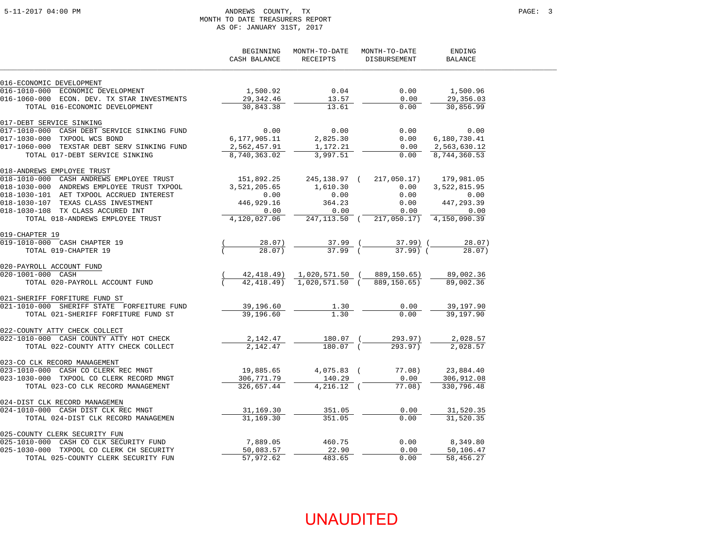#### 5-11-2017 04:00 PM ANDREWS COUNTY, TX PAGE: 3 MONTH TO DATE TREASURERS REPORT AS OF: JANUARY 31ST, 2017

|                                                                                         | BEGINNING<br>CASH BALANCE | MONTH-TO-DATE<br>RECEIPTS | MONTH-TO-DATE<br>DISBURSEMENT             | ENDING<br>BALANCE |
|-----------------------------------------------------------------------------------------|---------------------------|---------------------------|-------------------------------------------|-------------------|
| 016-ECONOMIC DEVELOPMENT                                                                |                           |                           |                                           |                   |
| 016-1010-000 ECONOMIC DEVELOPMENT                                                       | 1,500.92                  | 0.04                      | 0.00                                      | 1,500.96          |
| 016-1060-000 ECON. DEV. TX STAR INVESTMENTS                                             | 29,342.46                 | 13.57                     | 0.00                                      | 29,356.03         |
| TOTAL 016-ECONOMIC DEVELOPMENT                                                          | 30,843.38                 | 13.61                     | 0.00                                      | 30,856.99         |
| 017-DEBT SERVICE SINKING                                                                |                           |                           |                                           |                   |
| 017-1010-000 CASH DEBT SERVICE SINKING FUND                                             | 0.00                      | 0.00                      | 0.00                                      | 0.00              |
| 017-1030-000 TXPOOL WCS BOND                                                            | 6,177,905.11              | 2,825.30                  | 0.00                                      | 6,180,730.41      |
| 017-1060-000 TEXSTAR DEBT SERV SINKING FUND                                             | 2,562,457.91              | 1,172.21                  | 0.00                                      | 2,563,630.12      |
| TOTAL 017-DEBT SERVICE SINKING                                                          | 8,740,363.02              | 3,997.51                  | 0.00                                      | 8,744,360.53      |
| 018-ANDREWS EMPLOYEE TRUST                                                              |                           |                           |                                           |                   |
| 018-1010-000 CASH ANDREWS EMPLOYEE TRUST                                                | 151,892.25                |                           | 245, 138.97 ( 217, 050.17)                | 179,981.05        |
| 018-1030-000 ANDREWS EMPLOYEE TRUST TXPOOL                                              | 3,521,205.65              | 1,610.30                  | 0.00                                      | 3,522,815.95      |
| 018-1030-101 AET TXPOOL ACCRUED INTEREST                                                | 0.00                      | 0.00                      | 0.00                                      | 0.00              |
| 018-1030-107 TEXAS CLASS INVESTMENT                                                     | 446,929.16                | 364.23                    | 0.00                                      | 447,293.39        |
| 018-1030-108 TX CLASS ACCURED INT                                                       | 0.00                      | 0.00                      | 0.00                                      | 0.00              |
| TOTAL 018-ANDREWS EMPLOYEE TRUST                                                        | 4,120,027.06              |                           | 247, 113.50 ( 217, 050.17) 4, 150, 090.39 |                   |
| 019-CHAPTER 19                                                                          |                           |                           |                                           |                   |
| 019-1010-000 CASH CHAPTER 19<br>TOTAL 019-CHAPTER 19                                    | 28.07)<br>28.07           | $37.99$ (<br>$37.99$ $($  | 37.99) (<br>$37.99$ $($                   | 28.07)            |
|                                                                                         |                           |                           |                                           | 28.07             |
| 020-PAYROLL ACCOUNT FUND                                                                |                           |                           |                                           |                   |
| 020-1001-000 CASH                                                                       | 42,418.49)                |                           | 1,020,571.50 (889,150.65)                 | 89,002.36         |
| TOTAL 020-PAYROLL ACCOUNT FUND                                                          |                           | 42,418.49) 1,020,571.50 ( | 889,150.65)                               | 89,002.36         |
| 021-SHERIFF FORFITURE FUND ST                                                           |                           |                           |                                           |                   |
| 021-1010-000 SHERIFF STATE FORFEITURE FUND                                              | 39,196.60                 | 1.30                      | 0.00                                      | 39,197.90         |
| TOTAL 021-SHERIFF FORFITURE FUND ST                                                     | 39,196.60                 | 1.30                      | 0.00                                      | 39,197.90         |
| 022-COUNTY ATTY CHECK COLLECT                                                           |                           |                           |                                           |                   |
| 022-1010-000 CASH COUNTY ATTY HOT CHECK                                                 | 2,142.47                  | 180.07 (                  | 293.97)                                   | 2,028.57          |
| TOTAL 022-COUNTY ATTY CHECK COLLECT                                                     | 2,142.47                  | 180.07 (                  | 293.97)                                   | 2,028.57          |
| 023-CO CLK RECORD MANAGEMENT                                                            |                           |                           |                                           |                   |
| 023-1010-000 CASH CO CLERK REC MNGT                                                     | 19,885.65                 | 4,075.83 (                | 77.08)                                    | 23,884.40         |
| 023-1030-000 TXPOOL CO CLERK RECORD MNGT                                                | 306,771.79                | 140.29                    | 0.00                                      | 306,912.08        |
| TOTAL 023-CO CLK RECORD MANAGEMENT                                                      | 326,657.44                | $4,216.12$ (              | 77.08)                                    | 330,796.48        |
| 024-DIST CLK RECORD MANAGEMEN                                                           |                           |                           |                                           |                   |
| 024-1010-000 CASH DIST CLK REC MNGT                                                     | 31,169.30                 | 351.05                    | 0.00                                      | 31,520.35         |
| TOTAL 024-DIST CLK RECORD MANAGEMEN                                                     | 31,169.30                 | 351.05                    | 0.00                                      | 31,520.35         |
| 025-COUNTY CLERK SECURITY FUN                                                           |                           |                           |                                           |                   |
| 025-1010-000 CASH CO CLK SECURITY FUND                                                  | 7,889.05                  | 460.75                    | 0.00                                      | 8,349.80          |
| – 2025–1010–2020 ברבי כי הוסמה CDS-1030–2000<br>25–1030–000 TXPOOL CO CLERK CH SECURITY | 50,083.57                 | 22.90                     | 0.00                                      | 50,106.47         |
| TOTAL 025-COUNTY CLERK SECURITY FUN                                                     | 57,972.62                 | 483.65                    | 0.00                                      | 58,456.27         |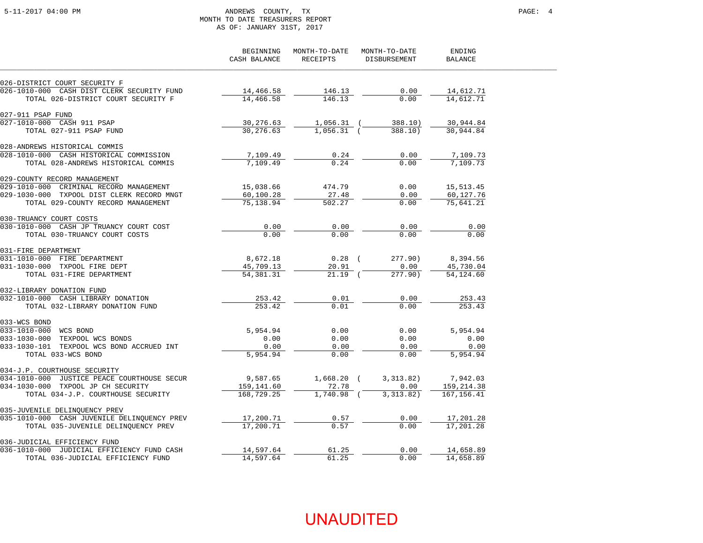#### 5-11-2017 04:00 PM ANDREWS COUNTY, TX PAGE: 4 MONTH TO DATE TREASURERS REPORT AS OF: JANUARY 31ST, 2017

|                                                                          | BEGINNING<br>CASH BALANCE | MONTH-TO-DATE<br>RECEIPTS | MONTH-TO-DATE<br>DISBURSEMENT | ENDING<br><b>BALANCE</b>  |  |
|--------------------------------------------------------------------------|---------------------------|---------------------------|-------------------------------|---------------------------|--|
| 026-DISTRICT COURT SECURITY F                                            |                           |                           |                               |                           |  |
| 026-1010-000 CASH DIST CLERK SECURITY FUND                               | 14,466.58                 | 146.13                    | 0.00                          | 14,612.71                 |  |
| TOTAL 026-DISTRICT COURT SECURITY F                                      | 14,466.58                 | 146.13                    | 0.00                          | 14,612.71                 |  |
| 027-911 PSAP FUND                                                        |                           |                           |                               |                           |  |
| 027-1010-000 CASH 911 PSAP                                               | 30,276.63                 | $1,056.31$ (              | 388.10)                       | 30,944.84                 |  |
| TOTAL 027-911 PSAP FUND                                                  | 30,276.63                 | $1,056.31$ (              | 388.10)                       | 30,944.84                 |  |
| 028-ANDREWS HISTORICAL COMMIS                                            |                           |                           |                               |                           |  |
| 028-1010-000 CASH HISTORICAL COMMISSION                                  | 7,109.49                  | 0.24                      | 0.00                          | 7,109.73                  |  |
| TOTAL 028-ANDREWS HISTORICAL COMMIS                                      | 7,109.49                  | 0.24                      | 0.00                          | 7,109.73                  |  |
| 029-COUNTY RECORD MANAGEMENT                                             |                           |                           |                               |                           |  |
| 029-1010-000 CRIMINAL RECORD MANAGEMENT                                  | 15,038.66                 | 474.79                    | 0.00                          | 15,513.45                 |  |
| 029-1030-000 TXPOOL DIST CLERK RECORD MNGT                               | 60,100.28                 | 27.48                     | 0.00                          | 60,127.76                 |  |
| TOTAL 029-COUNTY RECORD MANAGEMENT                                       | 75,138.94                 | 502.27                    | 0.00                          | 75,641.21                 |  |
| 030-TRUANCY COURT COSTS                                                  |                           |                           |                               |                           |  |
| 030-1010-000 CASH JP TRUANCY COURT COST                                  | 0.00                      | 0.00                      | 0.00                          | 0.00                      |  |
| TOTAL 030-TRUANCY COURT COSTS                                            | 0.00                      | 0.00                      | 0.00                          | 0.00                      |  |
| 031-FIRE DEPARTMENT                                                      |                           |                           |                               |                           |  |
| 031-1010-000 FIRE DEPARTMENT                                             | 8,672.18                  | $0.28$ (                  | 277.90)                       | 8,394.56                  |  |
| 031-1030-000 TXPOOL FIRE DEPT                                            | 45,709.13                 | 20.91                     | 0.00                          | 45,730.04                 |  |
| TOTAL 031-FIRE DEPARTMENT                                                | 54, 381. 31               | $21.19$ (                 | 277.90)                       | 54,124.60                 |  |
| 032-LIBRARY DONATION FUND                                                |                           |                           |                               |                           |  |
| 032-1010-000 CASH LIBRARY DONATION                                       | 253.42                    | 0.01                      | 0.00                          | 253.43                    |  |
| TOTAL 032-LIBRARY DONATION FUND                                          | 253.42                    | 0.01                      | 0.00                          | 253.43                    |  |
| 033-WCS BOND                                                             |                           |                           |                               |                           |  |
| 033-1010-000 WCS BOND                                                    | 5,954.94                  | 0.00                      | 0.00                          | 5,954.94                  |  |
| 033-1030-000 TEXPOOL WCS BONDS                                           | 0.00                      | 0.00                      | 0.00                          | 0.00                      |  |
| 033-1030-101 TEXPOOL WCS BOND ACCRUED INT                                | 0.00                      | 0.00                      | 0.00                          | 0.00                      |  |
| TOTAL 033-WCS BOND                                                       | 5,954.94                  | 0.00                      | 0.00                          | 5,954.94                  |  |
| 034-J.P. COURTHOUSE SECURITY                                             |                           |                           |                               |                           |  |
| 034-1010-000 JUSTICE PEACE COURTHOUSE SECUR                              | 9,587.65                  | $1,668.20$ (              | 3,313.82)                     | 7,942.03                  |  |
| 034-1030-000 TXPOOL JP CH SECURITY<br>TOTAL 034-J.P. COURTHOUSE SECURITY | 159,141.60<br>168,729.25  | 72.78<br>$1,740.98$ (     | 0.00<br>3, 313, 82)           | 159,214.38<br>167, 156.41 |  |
|                                                                          |                           |                           |                               |                           |  |
| 035-JUVENILE DELINQUENCY PREV                                            |                           |                           |                               |                           |  |
| 035-1010-000 CASH JUVENILE DELINQUENCY PREV                              | 17,200.71                 | 0.57                      | 0.00                          | 17,201.28                 |  |
| TOTAL 035-JUVENILE DELINQUENCY PREV                                      | 17,200.71                 | 0.57                      | 0.00                          | 17,201.28                 |  |
| 036-JUDICIAL EFFICIENCY FUND                                             |                           |                           |                               |                           |  |
| 036-1010-000 JUDICIAL EFFICIENCY FUND CASH                               | 14,597.64                 | 61.25                     | 0.00                          | 14,658.89                 |  |
| TOTAL 036-JUDICIAL EFFICIENCY FUND                                       | 14,597.64                 | 61.25                     | 0.00                          | 14,658.89                 |  |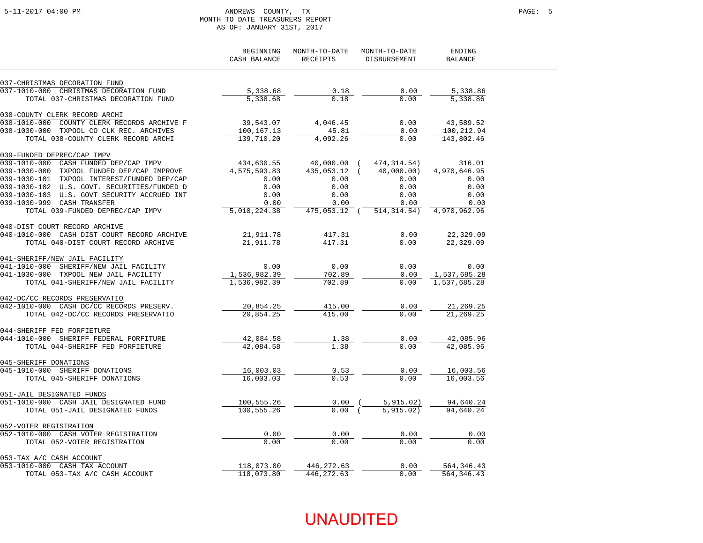#### 5-11-2017 04:00 PM ANDREWS COUNTY, TX PAGE: 5 MONTH TO DATE TREASURERS REPORT AS OF: JANUARY 31ST, 2017

|                                                           | BEGINNING<br>CASH BALANCE | MONTH-TO-DATE<br>RECEIPTS | MONTH-TO-DATE<br>DISBURSEMENT | ENDING<br><b>BALANCE</b> |
|-----------------------------------------------------------|---------------------------|---------------------------|-------------------------------|--------------------------|
| 037-CHRISTMAS DECORATION FUND                             |                           |                           |                               |                          |
| 037-1010-000 CHRISTMAS DECORATION FUND                    | 5,338.68                  | 0.18                      | 0.00                          | 5,338.86                 |
| TOTAL 037-CHRISTMAS DECORATION FUND                       | 5,338.68                  | 0.18                      | 0.00                          | 5,338.86                 |
| 038-COUNTY CLERK RECORD ARCHI                             |                           |                           |                               |                          |
| $038 - 1010 - 000$<br>COUNTY CLERK RECORDS ARCHIVE F      | 39,543.07                 | 4,046.45                  | 0.00                          | 43,589.52                |
| 038-1030-000 TXPOOL CO CLK REC. ARCHIVES                  | 100,167.13                | 45.81                     | 0.00                          | 100,212.94               |
| TOTAL 038-COUNTY CLERK RECORD ARCHI                       | 139,710.20                | 4,092.26                  | 0.00                          | 143,802.46               |
| 039-FUNDED DEPREC/CAP IMPV                                |                           |                           |                               |                          |
| 039-1010-000 CASH FUNDED DEP/CAP IMPV                     | 434,630.55                | 40,000.00 (               | 474,314.54)                   | 316.01                   |
| 039-1030-000 TXPOOL FUNDED DEP/CAP IMPROVE                | 4,575,593.83              | 435,053.12 (              | 40,000.00)                    | 4,970,646.95             |
| 039-1030-101 TXPOOL INTEREST/FUNDED DEP/CAP               | 0.00                      | 0.00                      | 0.00                          | 0.00                     |
| 039-1030-102 U.S. GOVT. SECURITIES/FUNDED D               | 0.00                      | 0.00                      | 0.00                          | 0.00                     |
| 039-1030-103 U.S. GOVT SECURITY ACCRUED INT               | 0.00                      | 0.00                      | 0.00                          | 0.00                     |
| 039-1030-999 CASH TRANSFER                                | 0.00<br>5,010,224.38      | 0.00<br>475,053.12 (      | 0.00                          | 0.00                     |
| TOTAL 039-FUNDED DEPREC/CAP IMPV                          |                           |                           | 514, 314.54)                  | 4,970,962.96             |
| 040-DIST COURT RECORD ARCHIVE                             |                           |                           |                               |                          |
| 040-1010-000 CASH DIST COURT RECORD ARCHIVE               | 21,911.78<br>21,911.78    | 417.31                    | 0.00<br>0.00                  | 22,329.09                |
| TOTAL 040-DIST COURT RECORD ARCHIVE                       |                           | 417.31                    |                               | 22,329.09                |
| 041-SHERIFF/NEW JAIL FACILITY                             |                           |                           |                               |                          |
| 041-1010-000 SHERIFF/NEW JAIL FACILITY                    | 0.00                      | 0.00                      | 0.00                          | 0.00                     |
| 041-1030-000 TXPOOL NEW JAIL FACILITY                     | 1,536,982.39              | 702.89                    | 0.00                          | 1,537,685.28             |
| TOTAL 041-SHERIFF/NEW JAIL FACILITY                       | 1,536,982.39              | 702.89                    | 0.00                          | 1,537,685.28             |
| 042-DC/CC RECORDS PRESERVATIO                             |                           |                           |                               |                          |
| 042-1010-000 CASH DC/CC RECORDS PRESERV.                  | 20,854.25                 | 415.00                    | 0.00                          | 21,269.25                |
| TOTAL 042-DC/CC RECORDS PRESERVATIO                       | 20,854.25                 | 415.00                    | 0.00                          | 21,269.25                |
| 044-SHERIFF FED FORFIETURE                                |                           |                           |                               |                          |
| 044-1010-000 SHERIFF FEDERAL FORFITURE                    | 42,084.58                 | 1.38                      | 0.00                          | 42,085.96                |
| TOTAL 044-SHERIFF FED FORFIETURE                          | 42,084.58                 | 1.38                      | 0.00                          | 42,085.96                |
| 045-SHERIFF DONATIONS                                     |                           |                           |                               |                          |
| 045-1010-000 SHERIFF DONATIONS                            | 16,003.03                 | 0.53                      | 0.00                          | 16,003.56                |
| TOTAL 045-SHERIFF DONATIONS                               | 16,003.03                 | 0.53                      | 0.00                          | 16,003.56                |
| 051-JAIL DESIGNATED FUNDS                                 |                           |                           |                               |                          |
| 051-1010-000 CASH JAIL DESIGNATED FUND                    | 100,555.26                | $0.00$ (                  | 5,915.02)                     | 94,640.24                |
| TOTAL 051-JAIL DESIGNATED FUNDS                           | 100,555.26                | 0.00(                     | 5, 915.02)                    | 94,640.24                |
| 052-VOTER REGISTRATION                                    |                           |                           |                               |                          |
| 052-1010-000 CASH VOTER REGISTRATION                      | 0.00                      | 0.00                      | 0.00                          | 0.00                     |
| TOTAL 052-VOTER REGISTRATION                              | 0.00                      | 0.00                      | 0.00                          | 0.00                     |
|                                                           |                           |                           |                               |                          |
| 053-TAX A/C CASH ACCOUNT<br>053-1010-000 CASH TAX ACCOUNT | 118,073.80                | 446,272.63                | 0.00                          | 564, 346. 43             |
| TOTAL 053-TAX A/C CASH ACCOUNT                            | 118,073.80                | 446,272.63                | 0.00                          | 564, 346.43              |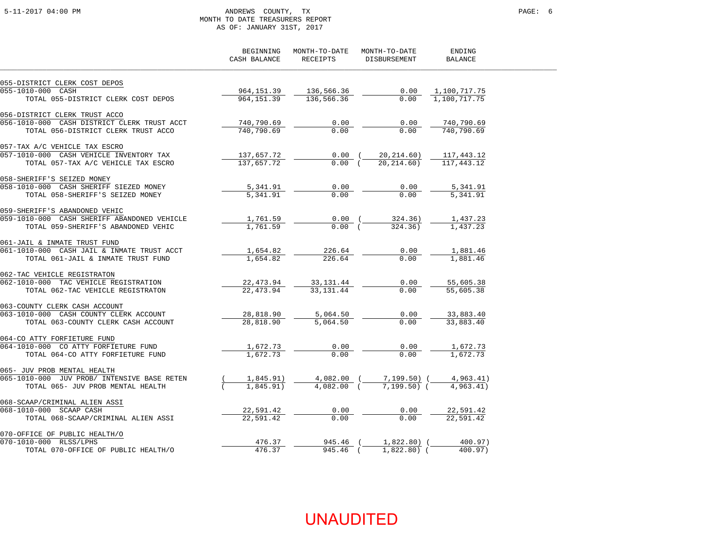#### 5-11-2017 04:00 PM ANDREWS COUNTY, TX PAGE: 6 MONTH TO DATE TREASURERS REPORT AS OF: JANUARY 31ST, 2017

|                                                                                                                               | BEGINNING<br>CASH BALANCE | MONTH-TO-DATE<br>RECEIPTS | MONTH-TO-DATE<br>DISBURSEMENT | ENDING<br><b>BALANCE</b> |
|-------------------------------------------------------------------------------------------------------------------------------|---------------------------|---------------------------|-------------------------------|--------------------------|
| 055-DISTRICT CLERK COST DEPOS                                                                                                 |                           |                           |                               |                          |
| 055-1010-000 CASH                                                                                                             | 964,151.39                | 136,566.36                | 0.00                          | 1,100,717.75             |
| TOTAL 055-DISTRICT CLERK COST DEPOS                                                                                           | 964,151.39                | 136,566.36                | 0.00                          | 1,100,717.75             |
| 056-DISTRICT CLERK TRUST ACCO                                                                                                 |                           |                           |                               |                          |
| 056-1010-000 CASH DISTRICT CLERK TRUST ACCT                                                                                   | 740,790.69                | 0.00                      | 0.00                          | 740,790.69               |
| TOTAL 056-DISTRICT CLERK TRUST ACCO                                                                                           | 740,790.69                | 0.00                      | 0.00                          | 740,790.69               |
| 057-TAX A/C VEHICLE TAX ESCRO                                                                                                 |                           |                           |                               |                          |
| 057-1010-000 CASH VEHICLE INVENTORY TAX                                                                                       | 137,657.72                | $0.00$ (                  | 20,214.60)                    | 117,443.12               |
| TOTAL 057-TAX A/C VEHICLE TAX ESCRO                                                                                           | 137,657.72                | 0.00(                     | 20, 214, 60)                  | 117, 443. 12             |
| 058-SHERIFF'S SEIZED MONEY                                                                                                    |                           |                           |                               |                          |
| 058-1010-000 CASH SHERIFF SIEZED MONEY                                                                                        | 5,341.91                  | 0.00                      | 0.00                          | 5,341.91                 |
| TOTAL 058-SHERIFF'S SEIZED MONEY                                                                                              | 5,341.91                  | 0.00                      | 0.00                          | 5,341.91                 |
| 059-SHERIFF'S ABANDONED VEHIC                                                                                                 |                           |                           |                               |                          |
| 059-1010-000 CASH SHERIFF ABANDONED VEHICLE                                                                                   | 1,761.59                  | $0.00$ (                  | 324.36)                       | 1,437.23                 |
| TOTAL 059-SHERIFF'S ABANDONED VEHIC                                                                                           | 1,761.59                  | 0.00(                     | 324.36)                       | 1,437.23                 |
| 061-JAIL & INMATE TRUST FUND                                                                                                  |                           |                           |                               |                          |
| 061-1010-000 CASH JAIL & INMATE TRUST ACCT                                                                                    | 1,654.82                  | 226.64                    | 0.00                          | 1,881.46                 |
| TOTAL 061-JAIL & INMATE TRUST FUND                                                                                            | 1,654.82                  | $\overline{226.64}$       | 0.00                          | 1,881.46                 |
| 062-TAC VEHICLE REGISTRATON                                                                                                   |                           |                           |                               |                          |
| 062-1010-000 TAC VEHICLE REGISTRATION                                                                                         | 22,473.94                 | 33,131.44                 | 0.00                          | 55,605.38                |
| TOTAL 062-TAC VEHICLE REGISTRATON                                                                                             | 22, 473.94                | 33, 131.44                | 0.00                          | 55,605.38                |
| 063-COUNTY CLERK CASH ACCOUNT                                                                                                 |                           |                           |                               |                          |
| 063-1010-000 CASH COUNTY CLERK ACCOUNT                                                                                        | 28,818.90                 | 5,064.50                  | 0.00                          | 33,883.40                |
| TOTAL 063-COUNTY CLERK CASH ACCOUNT                                                                                           | 28,818.90                 | 5,064.50                  | 0.00                          | 33,883.40                |
| 064-CO ATTY FORFIETURE FUND                                                                                                   |                           |                           |                               |                          |
| 064-1010-000 CO ATTY FORFIETURE FUND                                                                                          | 1,672.73                  | 0.00<br>0.00              | 0.00<br>0.00                  | 1,672.73<br>1,672.73     |
| TOTAL 064-CO ATTY FORFIETURE FUND                                                                                             | 1,672.73                  |                           |                               |                          |
| 065- JUV PROB MENTAL HEALTH                                                                                                   |                           |                           |                               |                          |
| 065-1010-000 JUV PROB/ INTENSIVE BASE RETEN                                                                                   | 1,845.91)                 | $4.082.00$ (              | 4,082.00 ( 7,199.50) (        | 4,963.41)                |
| TOTAL 065- JUV PROB MENTAL HEALTH                                                                                             | 1,845.91)                 |                           | $7.199.50$ (                  | 4,963,41)                |
| 068-SCAAP/CRIMINAL ALIEN ASSI<br><u>CAAP/CRIMINAL ALIEN ASSI</u><br>)10-000 SCAAP CASH<br>TOTAL 068-SCAAP/CRIMINAL ALIEN ASSI |                           |                           |                               |                          |
| 068-1010-000 SCAAP CASH                                                                                                       | 22,591.42                 | 0.00                      | 0.00                          | 22,591.42                |
|                                                                                                                               | 22,591.42                 | 0.00                      | 0.00                          | 22,591.42                |
| 070-OFFICE OF PUBLIC HEALTH/O                                                                                                 |                           |                           |                               |                          |
| TRICE OF PUBLIC HEALTH/O<br>010-000 RLSS/LPHS<br>TOTAL 070-OFFICE OF PUBLIC HEALTH/O<br>070-1010-000 RLSS/LPHS                | 476.37                    | 945.46 (                  | $1,822.80$ (                  | 400.97)                  |
|                                                                                                                               | 476.37                    | 945.46 (                  | $1,822.80$ (                  | 400.97)                  |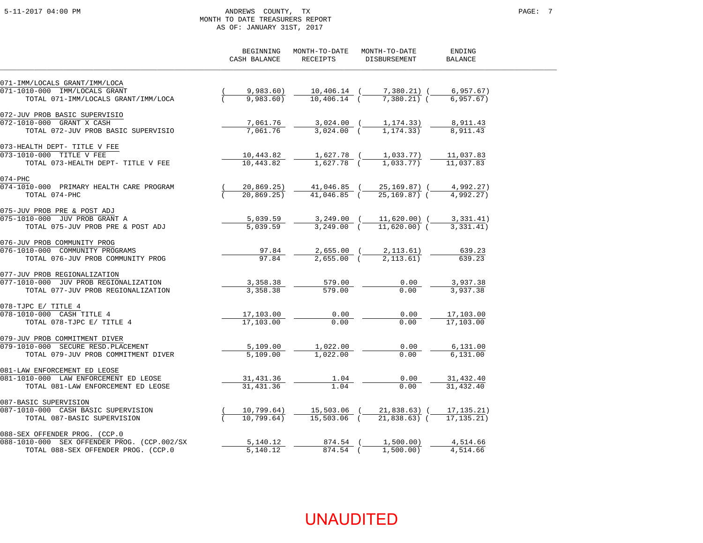#### 5-11-2017 04:00 PM ANDREWS COUNTY, TX PAGE: 7 MONTH TO DATE TREASURERS REPORT AS OF: JANUARY 31ST, 2017

|                                             | BEGINNING<br>CASH BALANCE | MONTH-TO-DATE<br>RECEIPTS       | MONTH-TO-DATE<br>DISBURSEMENT | ENDING<br><b>BALANCE</b> |
|---------------------------------------------|---------------------------|---------------------------------|-------------------------------|--------------------------|
| 071-IMM/LOCALS GRANT/IMM/LOCA               |                           |                                 |                               |                          |
| 071-1010-000 IMM/LOCALS GRANT               | 9,983.60)                 | 10,406.14 (                     | 7,380.21) (                   | 6,957.67)                |
| TOTAL 071-IMM/LOCALS GRANT/IMM/LOCA         | 9,983,60                  | $10,406.14$ (                   | $7.380.21)$ (                 | 6.957.67)                |
| 072-JUV PROB BASIC SUPERVISIO               |                           |                                 |                               |                          |
| 072-1010-000 GRANT X CASH                   | 7,061.76                  | $3,024.00$ (                    | 1,174.33)                     | 8,911.43                 |
| TOTAL 072-JUV PROB BASIC SUPERVISIO         | 7,061.76                  | $3,024.00$ (                    | 1, 174, 33)                   | 8,911.43                 |
| 073-HEALTH DEPT- TITLE V FEE                |                           |                                 |                               |                          |
| 073-1010-000 TITLE V FEE                    | 10,443.82                 | 1,627.78 (                      | 1,033.77)                     | 11,037.83                |
| TOTAL 073-HEALTH DEPT- TITLE V FEE          | 10,443.82                 | 1,627.78 (                      | 1,033.77)                     | 11,037.83                |
| $074 - PHC$                                 |                           |                                 |                               |                          |
| 074-1010-000 PRIMARY HEALTH CARE PROGRAM    | 20,869.25)                | $\frac{41,046.85}{41,046.85}$ ( | 25,169.87) (                  | 4,992.27)                |
| TOTAL 074-PHC                               | 20,869.25                 |                                 | 25,169.87) (                  | 4,992.27)                |
| 075-JUV PROB PRE & POST ADJ                 |                           |                                 |                               |                          |
| 075-1010-000 JUV PROB GRANT A               | 5,039.59                  |                                 | 3,249.00 ( 11,620.00) (       | 3,331.41)                |
| TOTAL 075-JUV PROB PRE & POST ADJ           | 5,039.59                  | $3.249.00$ (                    | $11.620.00)$ (                | 3,331,41)                |
| 076-JUV PROB COMMUNITY PROG                 |                           |                                 |                               |                          |
| 076-1010-000 COMMUNITY PROGRAMS             | 97.84                     |                                 | $2,655.00$ ( $2,113.61$ )     | 639.23                   |
| TOTAL 076-JUV PROB COMMUNITY PROG           | 97.84                     | $2.655.00$ (                    | 2,113.61)                     | 639.23                   |
| 077-JUV PROB REGIONALIZATION                |                           |                                 |                               |                          |
| 077-1010-000 JUV PROB REGIONALIZATION       | 3,358.38                  | 579.00                          | 0.00                          | 3,937.38                 |
| TOTAL 077-JUV PROB REGIONALIZATION          | 3,358.38                  | 579.00                          | 0.00                          | 3,937.38                 |
| 078-TJPC E/ TITLE 4                         |                           |                                 |                               |                          |
| 078-1010-000 CASH TITLE 4                   | 17,103.00                 | 0.00                            | 0.00                          | 17,103.00                |
| TOTAL 078-TJPC E/ TITLE 4                   | 17,103.00                 | 0.00                            | 0.00                          | 17,103.00                |
| 079-JUV PROB COMMITMENT DIVER               |                           |                                 |                               |                          |
| 079-1010-000 SECURE RESD. PLACEMENT         | 5,109.00                  | 1,022.00                        | 0.00                          | 6,131.00                 |
| TOTAL 079-JUV PROB COMMITMENT DIVER         | 5,109.00                  | 1,022.00                        | 0.00                          | 6.131.00                 |
| 081-LAW ENFORCEMENT ED LEOSE                |                           |                                 |                               |                          |
| 081-1010-000 LAW ENFORCEMENT ED LEOSE       | 31,431.36                 | 1.04                            | 0.00                          | 31,432.40                |
| TOTAL 081-LAW ENFORCEMENT ED LEOSE          | 31,431.36                 | 1.04                            | 0.00                          | 31,432.40                |
| 087-BASIC SUPERVISION                       |                           |                                 |                               |                          |
| 087-1010-000 CASH BASIC SUPERVISION         | 10,799.64)                | 15,503.06 (                     | 21,838.63) (                  | 17, 135. 21)             |
| TOTAL 087-BASIC SUPERVISION                 | 10,799.64)                | $15,503.06$ (                   | $21,838.63$ (                 | 17, 135.21)              |
| 088-SEX OFFENDER PROG. (CCP.0               |                           |                                 |                               |                          |
| 088-1010-000 SEX OFFENDER PROG. (CCP.002/SX | 5,140.12                  | 874.54 (                        | 1,500.00)                     | 4,514.66                 |
| TOTAL 088-SEX OFFENDER PROG. (CCP.0         | 5,140.12                  | 874.54 (                        | 1,500.00)                     | 4,514.66                 |